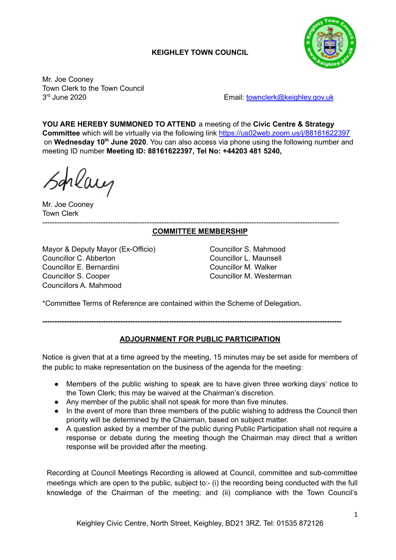# **KEIGHLEY TOWN COUNCIL**



Mr. Joe Cooney Town Clerk to the Town Council 3rd June 2020

Email: [townclerk@keighley.gov.uk](mailto:townclerk@keighley.gov.uk)

**YOU ARE HEREBY SUMMONED TO ATTEND** a meeting of the **Civic Centre & Strategy Committee** which will be virtually via the following link <https://us02web.zoom.us/j/88161622397> on Wednesday 10<sup>th</sup> June 2020. You can also access via phone using the following number and meeting ID number **Meeting ID: 88161622397, Tel No: +44203 481 5240,**

hlang

Mr. Joe Cooney Town Clerk --------------------------------------------------------------------------------------------------------------------------

## **COMMITTEE MEMBERSHIP**

Mayor & Deputy Mayor (Ex-Officio) Councillor S. Mahmood Councillor C. Abberton Councillor L. Maunsell Councillor E. Bernardini Councillor M. Walker Councillor S. Cooper Councillor M. Westerman Councillors A. Mahmood

\*Committee Terms of Reference are contained within the Scheme of Delegation**.**

**---------------------------------------------------------------------------------------------------------------------------**

# **ADJOURNMENT FOR PUBLIC PARTICIPATION**

Notice is given that at a time agreed by the meeting, 15 minutes may be set aside for members of the public to make representation on the business of the agenda for the meeting:

- Members of the public wishing to speak are to have given three working days' notice to the Town Clerk; this may be waived at the Chairman's discretion.
- Any member of the public shall not speak for more than five minutes.
- In the event of more than three members of the public wishing to address the Council then priority will be determined by the Chairman, based on subject matter.
- A question asked by a member of the public during Public Participation shall not require a response or debate during the meeting though the Chairman may direct that a written response will be provided after the meeting.

Recording at Council Meetings Recording is allowed at Council, committee and sub-committee meetings which are open to the public, subject to:- (i) the recording being conducted with the full knowledge of the Chairman of the meeting; and (ii) compliance with the Town Council's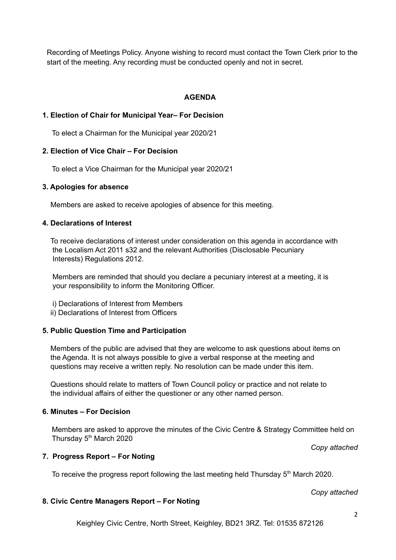Recording of Meetings Policy. Anyone wishing to record must contact the Town Clerk prior to the start of the meeting. Any recording must be conducted openly and not in secret.

## **AGENDA**

### **1. Election of Chair for Municipal Year– For Decision**

To elect a Chairman for the Municipal year 2020/21

### **2. Election of Vice Chair – For Decision**

To elect a Vice Chairman for the Municipal year 2020/21

#### **3. Apologies for absence**

Members are asked to receive apologies of absence for this meeting.

### **4. Declarations of Interest**

To receive declarations of interest under consideration on this agenda in accordance with the Localism Act 2011 s32 and the relevant Authorities (Disclosable Pecuniary Interests) Regulations 2012.

Members are reminded that should you declare a pecuniary interest at a meeting, it is your responsibility to inform the Monitoring Officer.

- i) Declarations of Interest from Members
- ii) Declarations of Interest from Officers

### **5. Public Question Time and Participation**

Members of the public are advised that they are welcome to ask questions about items on the Agenda. It is not always possible to give a verbal response at the meeting and questions may receive a written reply. No resolution can be made under this item.

Questions should relate to matters of Town Council policy or practice and not relate to the individual affairs of either the questioner or any other named person.

## **6. Minutes – For Decision**

Members are asked to approve the minutes of the Civic Centre & Strategy Committee held on Thursday 5<sup>th</sup> March 2020

*Copy attached*

### **7. Progress Report – For Noting**

To receive the progress report following the last meeting held Thursday  $5<sup>th</sup>$  March 2020.

#### *Copy attached*

### **8. Civic Centre Managers Report – For Noting**

Keighley Civic Centre, North Street, Keighley, BD21 3RZ. Tel: 01535 872126